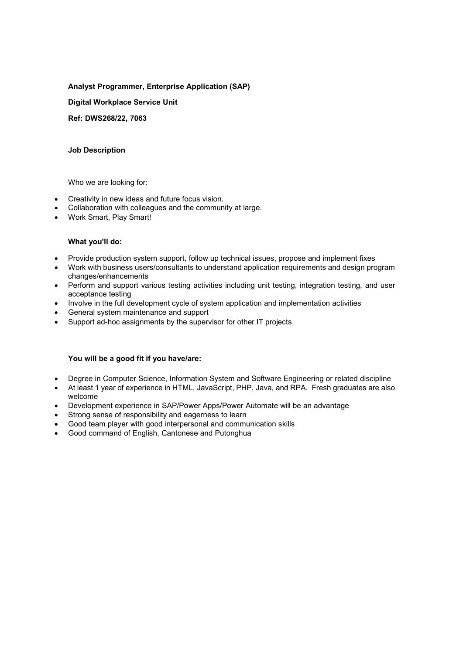# Analyst Programmer, Enterprise Application (SAP)

Digital Workplace Service Unit

Ref: DWS268/22, 7063

## Job Description

Who we are looking for:

- Creativity in new ideas and future focus vision.
- Collaboration with colleagues and the community at large.
- Work Smart, Play Smart!

## What you'll do:

- Provide production system support, follow up technical issues, propose and implement fixes
- Work with business users/consultants to understand application requirements and design program changes/enhancements
- Perform and support various testing activities including unit testing, integration testing, and user acceptance testing
- Involve in the full development cycle of system application and implementation activities
- General system maintenance and support
- Support ad-hoc assignments by the supervisor for other IT projects

## You will be a good fit if you have/are:

- Degree in Computer Science, Information System and Software Engineering or related discipline
- At least 1 year of experience in HTML, JavaScript, PHP, Java, and RPA. Fresh graduates are also welcome
- Development experience in SAP/Power Apps/Power Automate will be an advantage
- Strong sense of responsibility and eagerness to learn
- Good team player with good interpersonal and communication skills
- Good command of English, Cantonese and Putonghua